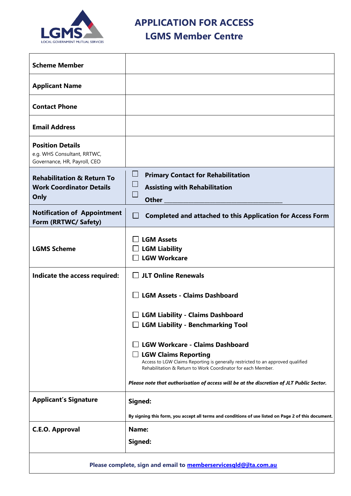

**APPLICATION FOR ACCESS**

# **LGMS Member Centre**

| <b>Scheme Member</b>                                                                   |                                                                                                                                                                                                                                                                                                                      |
|----------------------------------------------------------------------------------------|----------------------------------------------------------------------------------------------------------------------------------------------------------------------------------------------------------------------------------------------------------------------------------------------------------------------|
| <b>Applicant Name</b>                                                                  |                                                                                                                                                                                                                                                                                                                      |
| <b>Contact Phone</b>                                                                   |                                                                                                                                                                                                                                                                                                                      |
| <b>Email Address</b>                                                                   |                                                                                                                                                                                                                                                                                                                      |
| <b>Position Details</b><br>e.g. WHS Consultant, RRTWC,<br>Governance, HR, Payroll, CEO |                                                                                                                                                                                                                                                                                                                      |
| <b>Rehabilitation &amp; Return To</b><br><b>Work Coordinator Details</b><br>Only       | $\sqcup$<br><b>Primary Contact for Rehabilitation</b><br>$\Box$<br><b>Assisting with Rehabilitation</b><br>$\Box$<br><b>Other</b>                                                                                                                                                                                    |
| <b>Notification of Appointment</b><br>Form (RRTWC/ Safety)                             | ⊔<br><b>Completed and attached to this Application for Access Form</b>                                                                                                                                                                                                                                               |
| <b>LGMS Scheme</b>                                                                     | <b>LGM Assets</b><br><b>LGM Liability</b><br><b>LGW Workcare</b>                                                                                                                                                                                                                                                     |
| Indicate the access required:                                                          | $\Box$ JLT Online Renewals                                                                                                                                                                                                                                                                                           |
|                                                                                        | <b>LGM Assets - Claims Dashboard</b>                                                                                                                                                                                                                                                                                 |
|                                                                                        | <b>LGM Liability - Claims Dashboard</b><br>$\Box$ LGM Liability - Benchmarking Tool                                                                                                                                                                                                                                  |
|                                                                                        | <b>LGW Workcare - Claims Dashboard</b><br>$\Box$ LGW Claims Reporting<br>Access to LGW Claims Reporting is generally restricted to an approved qualified<br>Rehabilitation & Return to Work Coordinator for each Member.<br>Please note that authorisation of access will be at the discretion of JLT Public Sector. |
| <b>Applicant's Signature</b>                                                           | Signed:                                                                                                                                                                                                                                                                                                              |
|                                                                                        | By signing this form, you accept all terms and conditions of use listed on Page 2 of this document.                                                                                                                                                                                                                  |
| <b>C.E.O. Approval</b>                                                                 | Name:<br>Signed:                                                                                                                                                                                                                                                                                                     |
| Please complete, sign and email to memberservicesqld@jlta.com.au                       |                                                                                                                                                                                                                                                                                                                      |